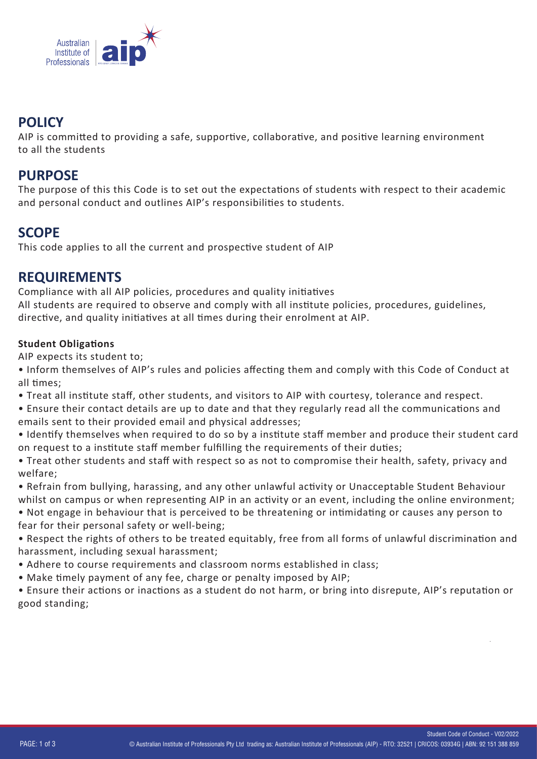

# **POLICY**

AIP is committed to providing a safe, supportive, collaborative, and positive learning environment to all the students

## **PURPOSE**

The purpose of this this Code is to set out the expectations of students with respect to their academic and personal conduct and outlines AIP's responsibilities to students.

# **SCOPE**

This code applies to all the current and prospective student of AIP

## **REQUIREMENTS**

Compliance with all AIP policies, procedures and quality initiatives All students are required to observe and comply with all institute policies, procedures, guidelines, directive, and quality initiatives at all times during their enrolment at AIP.

## **Student Obligations**

AIP expects its student to;

- Inform themselves of AIP's rules and policies affecting them and comply with this Code of Conduct at all times:
- Treat all institute staff, other students, and visitors to AIP with courtesy, tolerance and respect.
- Ensure their contact details are up to date and that they regularly read all the communications and emails sent to their provided email and physical addresses;
- Identify themselves when required to do so by a institute staff member and produce their student card on request to a institute staff member fulfilling the requirements of their duties;
- Treat other students and staff with respect so as not to compromise their health, safety, privacy and welfare;
- Refrain from bullying, harassing, and any other unlawful activity or Unacceptable Student Behaviour whilst on campus or when representing AIP in an activity or an event, including the online environment;
- Not engage in behaviour that is perceived to be threatening or intimidating or causes any person to fear for their personal safety or well-being;
- Respect the rights of others to be treated equitably, free from all forms of unlawful discrimination and harassment, including sexual harassment;
- Adhere to course requirements and classroom norms established in class;
- Make timely payment of any fee, charge or penalty imposed by AIP;

• Ensure their actions or inactions as a student do not harm, or bring into disrepute, AIP's reputation or good standing;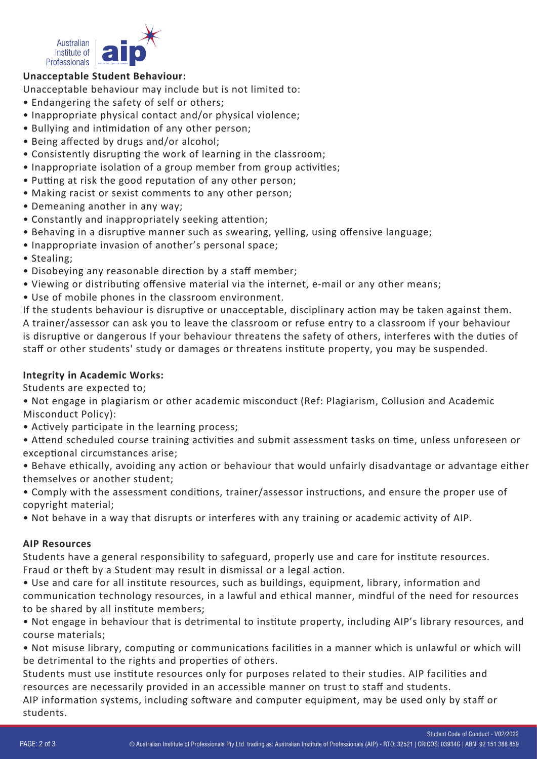

### **Unacceptable Student Behaviour:**

Unacceptable behaviour may include but is not limited to:

- Endangering the safety of self or others;
- Inappropriate physical contact and/or physical violence;
- Bullying and intimidation of any other person;
- Being affected by drugs and/or alcohol;
- Consistently disrupting the work of learning in the classroom;
- Inappropriate isolation of a group member from group activities;
- Putting at risk the good reputation of any other person;
- Making racist or sexist comments to any other person;
- Demeaning another in any way;
- Constantly and inappropriately seeking attention;
- Behaving in a disruptive manner such as swearing, yelling, using offensive language;
- Inappropriate invasion of another's personal space;
- Stealing;
- Disobeying any reasonable direction by a staff member;
- Viewing or distributing offensive material via the internet, e-mail or any other means;
- Use of mobile phones in the classroom environment.

If the students behaviour is disruptive or unacceptable, disciplinary action may be taken against them. A trainer/assessor can ask you to leave the classroom or refuse entry to a classroom if your behaviour is disruptive or dangerous If your behaviour threatens the safety of others, interferes with the duties of staff or other students' study or damages or threatens institute property, you may be suspended.

#### **Integrity in Academic Works:**

Students are expected to;

• Not engage in plagiarism or other academic misconduct (Ref: Plagiarism, Collusion and Academic Misconduct Policy):

• Actively participate in the learning process;

• Attend scheduled course training activities and submit assessment tasks on time, unless unforeseen or exceptional circumstances arise;

- Behave ethically, avoiding any action or behaviour that would unfairly disadvantage or advantage either themselves or another student;
- Comply with the assessment conditions, trainer/assessor instructions, and ensure the proper use of copyright material;
- Not behave in a way that disrupts or interferes with any training or academic activity of AIP.

#### **AIP Resources**

Students have a general responsibility to safeguard, properly use and care for institute resources. Fraud or theft by a Student may result in dismissal or a legal action.

• Use and care for all institute resources, such as buildings, equipment, library, information and communication technology resources, in a lawful and ethical manner, mindful of the need for resources to be shared by all institute members;

• Not engage in behaviour that is detrimental to institute property, including AIP's library resources, and course materials;

• Not misuse library, computing or communications facilities in a manner which is unlawful or which will be detrimental to the rights and properties of others.

Students must use institute resources only for purposes related to their studies. AIP facilities and resources are necessarily provided in an accessible manner on trust to staff and students.

AIP information systems, including software and computer equipment, may be used only by staff or students.